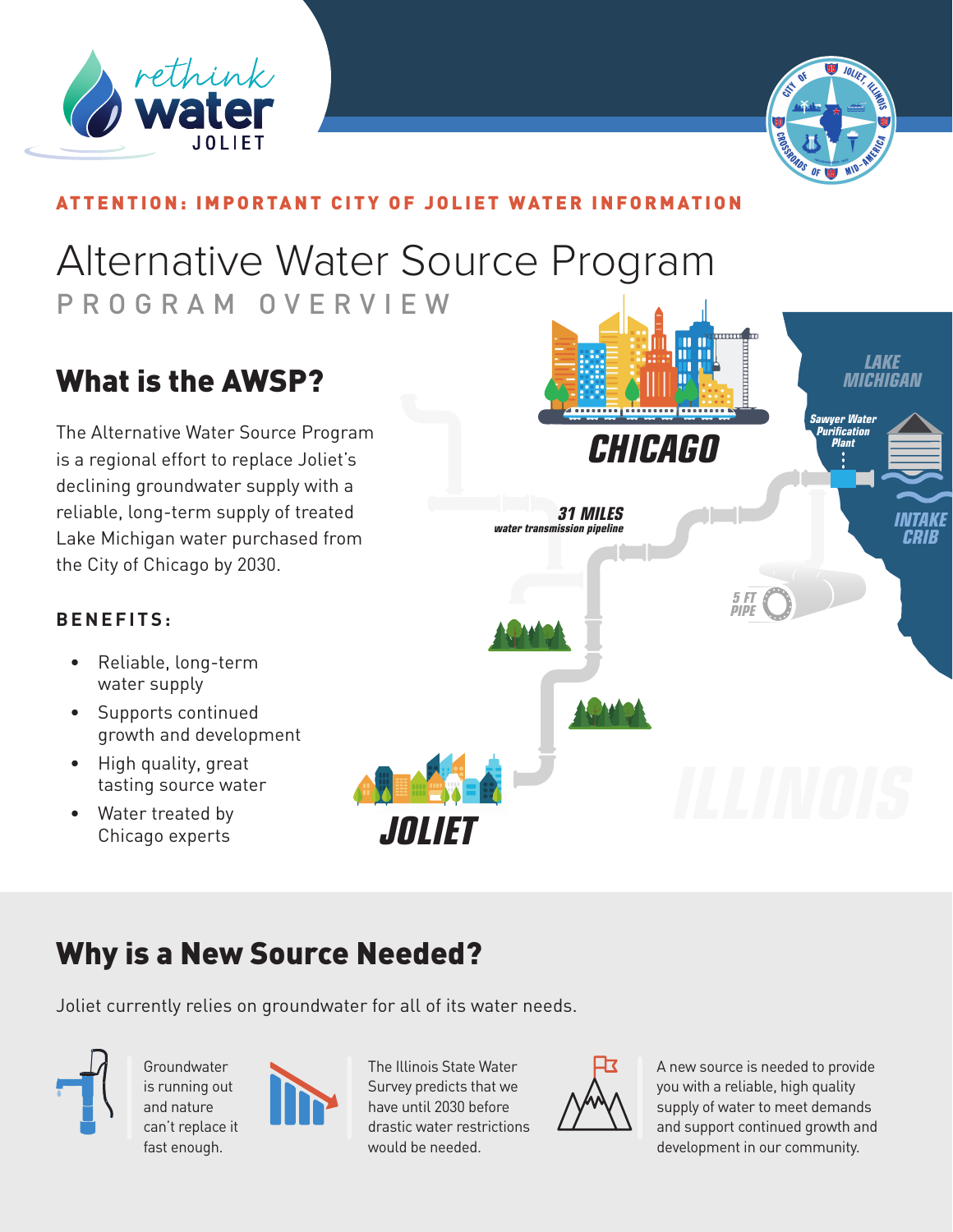



#### ATTENTION: IMPORTANT CITY OF JOLIET WATER INFORMATION

# Alternative Water Source Program PROGRAM OVERVIEW

### What is the AWSP?

The Alternative Water Source Program is a regional effort to replace Joliet's declining groundwater supply with a reliable, long-term supply of treated Lake Michigan water purchased from the City of Chicago by 2030.



#### **B E N E F I T S :**

- Reliable, long-term water supply
- Supports continued growth and development
- High quality, great tasting source water
- Water treated by Chicago experts

### Why is a New Source Needed?

Joliet currently relies on groundwater for all of its water needs.



Groundwater is running out and nature can't replace it fast enough.



The Illinois State Water Survey predicts that we have until 2030 before drastic water restrictions would be needed.



A new source is needed to provide you with a reliable, high quality supply of water to meet demands and support continued growth and development in our community.